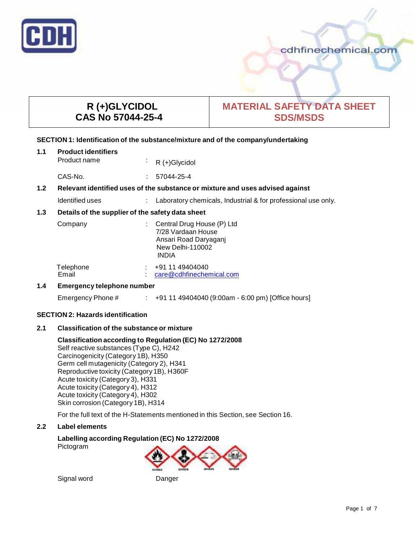

## cdhfinechemical.com

# **R (+)GLYCIDOL CAS No 57044-25-4**

# **MATERIAL SAFETY DATA SHEET SDS/MSDS**

#### **SECTION 1: Identification of the substance/mixture and of the company/undertaking**

| 1.1 | <b>Product identifiers</b><br>Product name                                    | ÷  | $R (+)$ Glycidol                                                                                              |
|-----|-------------------------------------------------------------------------------|----|---------------------------------------------------------------------------------------------------------------|
|     | CAS-No.                                                                       | ÷. | 57044-25-4                                                                                                    |
| 1.2 | Relevant identified uses of the substance or mixture and uses advised against |    |                                                                                                               |
|     | Identified uses                                                               |    | Laboratory chemicals, Industrial & for professional use only.                                                 |
| 1.3 | Details of the supplier of the safety data sheet                              |    |                                                                                                               |
|     | Company                                                                       |    | Central Drug House (P) Ltd<br>7/28 Vardaan House<br>Ansari Road Daryaganj<br>New Delhi-110002<br><b>INDIA</b> |
|     | Telephone<br>Email                                                            |    | $\div$ +91 11 49404040<br>care@cdhfinechemical.com                                                            |
|     | For a construction of a linear linear and constructional                      |    |                                                                                                               |

#### **1.4 Emergency telephone number**

Emergency Phone # : +91 11 49404040 (9:00am - 6:00 pm) [Office hours]

#### **SECTION 2: Hazards identification**

#### **2.1 Classification of the substance ormixture**

#### **Classification according to Regulation (EC) No 1272/2008**

Self reactive substances (Type C), H242 Carcinogenicity (Category 1B), H350 Germ cell mutagenicity (Category 2), H341 Reproductive toxicity (Category 1B), H360F Acute toxicity (Category 3), H331 Acute toxicity (Category 4), H312 Acute toxicity (Category 4), H302 Skin corrosion (Category 1B), H314

For the full text of the H-Statements mentioned in this Section, see Section 16.

#### **2.2 Label elements**

# **Labelling according Regulation (EC) No 1272/2008**

Pictogram



Signal word Danger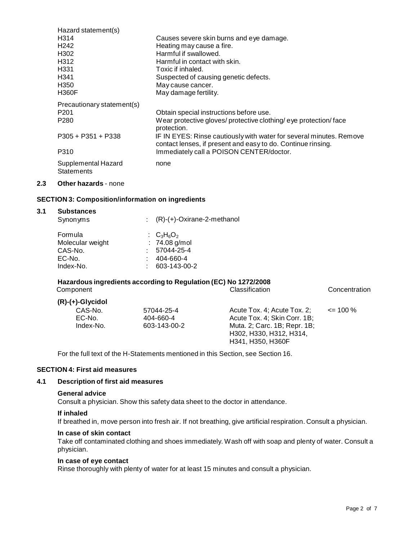| Hazard statement(s)        |                                                                     |
|----------------------------|---------------------------------------------------------------------|
| H <sub>3</sub> 14          | Causes severe skin burns and eye damage.                            |
| H <sub>242</sub>           | Heating may cause a fire.                                           |
| H <sub>302</sub>           | Harmful if swallowed.                                               |
| H <sub>3</sub> 12          | Harmful in contact with skin.                                       |
| H <sub>331</sub>           | Toxic if inhaled.                                                   |
| H <sub>341</sub>           | Suspected of causing genetic defects.                               |
| H <sub>350</sub>           | May cause cancer.                                                   |
| <b>H360F</b>               | May damage fertility.                                               |
| Precautionary statement(s) |                                                                     |
| P <sub>201</sub>           | Obtain special instructions before use.                             |
| P <sub>280</sub>           | Wear protective gloves/ protective clothing/ eye protection/face    |
|                            | protection.                                                         |
| $P305 + P351 + P338$       | IF IN EYES: Rinse cautiously with water for several minutes. Remove |
|                            | contact lenses, if present and easy to do. Continue rinsing.        |
| P310                       | Immediately call a POISON CENTER/doctor.                            |
| Supplemental Hazard        | none                                                                |
| <b>Statements</b>          |                                                                     |
|                            |                                                                     |

#### **2.3 Other hazards** - none

#### **SECTION 3: Composition/information on ingredients**

#### **3.1 Substances**

| Synonyms                                                      | $(R)-(+)$ -Oxirane-2-methanol                                               |  |
|---------------------------------------------------------------|-----------------------------------------------------------------------------|--|
| Formula<br>Molecular weight<br>CAS-No.<br>EC-No.<br>Index-No. | : $C_3H_6O_2$<br>$: 74.08$ g/mol<br>57044-25-4<br>404-660-4<br>603-143-00-2 |  |
|                                                               |                                                                             |  |

# **Hazardous ingredients according to Regulation (EC) No 1272/2008**

| (R)-(+)-Glycidol |              |                              |              |
|------------------|--------------|------------------------------|--------------|
| CAS-No.          | 57044-25-4   | Acute Tox. 4: Acute Tox. 2:  | $\leq$ 100 % |
| EC-No.           | 404-660-4    | Acute Tox. 4; Skin Corr. 1B; |              |
| Index-No.        | 603-143-00-2 | Muta. 2; Carc. 1B; Repr. 1B; |              |
|                  |              | H302, H330, H312, H314,      |              |
|                  |              | H341, H350, H360F            |              |

For the full text of the H-Statements mentioned in this Section, see Section 16.

#### **SECTION 4: First aid measures**

#### **4.1 Description of first aid measures**

#### **General advice**

Consult a physician. Show this safety data sheet to the doctor in attendance.

#### **If inhaled**

If breathed in, move person into fresh air. If not breathing, give artificial respiration. Consult a physician.

#### **In case of skin contact**

Take off contaminated clothing and shoes immediately. Wash off with soap and plenty of water. Consult a physician.

#### **In case of eye contact**

Rinse thoroughly with plenty of water for at least 15 minutes and consult a physician.

**Concentration**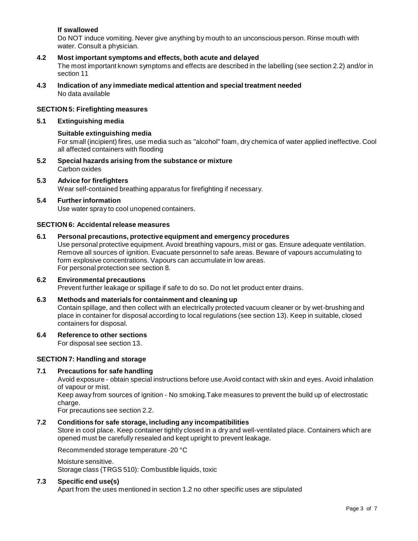#### **If swallowed**

Do NOT induce vomiting. Never give anything by mouth to an unconscious person. Rinse mouth with water. Consult a physician.

#### **4.2 Most important symptoms and effects, both acute and delayed**

The most important known symptoms and effects are described in the labelling (see section 2.2) and/or in section 11

**4.3 Indication of any immediate medical attention and special treatment needed** No data available

#### **SECTION 5: Firefighting measures**

#### **5.1 Extinguishing media**

#### **Suitable extinguishing media**

For small (incipient) fires, use media such as "alcohol" foam, dry chemica of water applied ineffective. Cool all affected containers with flooding

- **5.2 Special hazards arising from the substance ormixture** Carbon oxides
- **5.3 Advice for firefighters** Wear self-contained breathing apparatus for firefighting if necessary.

#### **5.4 Further information**

Use water spray to cool unopened containers.

#### **SECTION 6: Accidentalrelease measures**

#### **6.1 Personal precautions, protective equipment and emergency procedures**

Use personal protective equipment. Avoid breathing vapours, mist or gas. Ensure adequate ventilation. Remove all sources of ignition. Evacuate personnel to safe areas. Beware of vapours accumulating to form explosive concentrations. Vapours can accumulate in low areas. For personal protection see section 8.

#### **6.2 Environmental precautions**

Prevent further leakage or spillage if safe to do so. Do not let product enter drains.

#### **6.3 Methods and materials for containment and cleaning up**

Contain spillage, and then collect with an electrically protected vacuum cleaner or by wet-brushing and place in container for disposal according to local regulations (see section 13). Keep in suitable, closed containers for disposal.

#### **6.4 Reference to other sections**

For disposal see section 13.

#### **SECTION 7: Handling and storage**

#### **7.1 Precautions for safe handling**

Avoid exposure - obtain special instructions before use.Avoid contact with skin and eyes. Avoid inhalation of vapour or mist.

Keep away from sources of ignition - No smoking.Take measures to prevent the build up of electrostatic charge.

For precautions see section 2.2.

#### **7.2 Conditions for safe storage, including any incompatibilities**

Store in cool place. Keep container tightly closed in a dry and well-ventilated place. Containers which are opened must be carefully resealed and kept upright to prevent leakage.

Recommended storage temperature -20 °C

#### Moisture sensitive. Storage class (TRGS 510): Combustible liquids, toxic

#### **7.3 Specific end use(s)**

Apart from the uses mentioned in section 1.2 no other specific uses are stipulated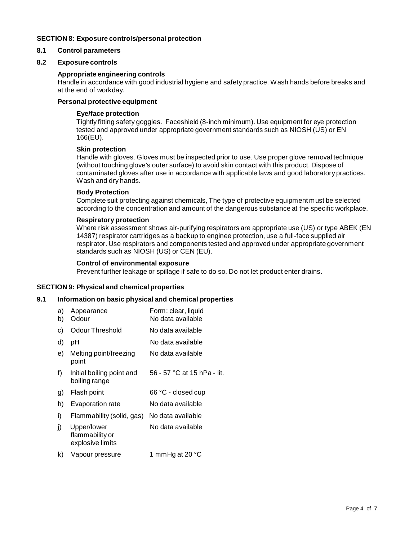#### **SECTION 8: Exposure controls/personal protection**

#### **8.1 Control parameters**

#### **8.2 Exposure controls**

#### **Appropriate engineering controls**

Handle in accordance with good industrial hygiene and safety practice. Wash hands before breaks and at the end of workday.

#### **Personal protective equipment**

#### **Eye/face protection**

Tightly fitting safety goggles. Faceshield (8-inch minimum). Use equipment for eye protection tested and approved under appropriate government standards such as NIOSH (US) or EN 166(EU).

#### **Skin protection**

Handle with gloves. Gloves must be inspected prior to use. Use proper glove removal technique (without touching glove's outer surface) to avoid skin contact with this product. Dispose of contaminated gloves after use in accordance with applicable laws and good laboratory practices. Wash and dry hands.

#### **Body Protection**

Complete suit protecting against chemicals, The type of protective equipment must be selected according to the concentration and amount of the dangerous substance at the specific workplace.

#### **Respiratory protection**

Where risk assessment shows air-purifying respirators are appropriate use (US) or type ABEK (EN 14387) respirator cartridges as a backup to enginee protection, use a full-face supplied air respirator. Use respirators and components tested and approved under appropriate government standards such as NIOSH (US) or CEN (EU).

#### **Control of environmental exposure**

Prevent further leakage or spillage if safe to do so. Do not let product enter drains.

#### **SECTION 9: Physical and chemical properties**

#### **9.1 Information on basic physical and chemical properties**

| a)<br>b) | Appearance<br>Odour                                | Form: clear, liquid<br>No data available |
|----------|----------------------------------------------------|------------------------------------------|
| c)       | Odour Threshold                                    | No data available                        |
| d)       | рH                                                 | No data available                        |
| e)       | Melting point/freezing<br>point                    | No data available                        |
| f)       | Initial boiling point and<br>boiling range         | 56 - 57 °C at 15 hPa - lit.              |
| g)       | Flash point                                        | 66 °C - closed cup                       |
| h)       | <b>Evaporation rate</b>                            | No data available                        |
| i)       | Flammability (solid, gas)                          | No data available                        |
| j)       | Upper/lower<br>flammability or<br>explosive limits | No data available                        |
| k)       | Vapour pressure                                    | 1 mmHg at 20 °C                          |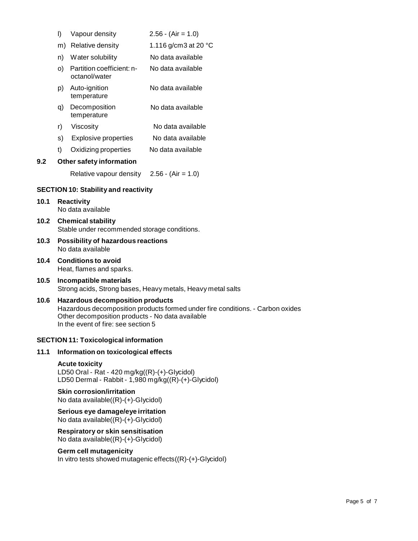|      | I)                                                                                                                                                                                                                   | Vapour density                               | $2.56 - (Air = 1.0)$           |
|------|----------------------------------------------------------------------------------------------------------------------------------------------------------------------------------------------------------------------|----------------------------------------------|--------------------------------|
|      |                                                                                                                                                                                                                      | m) Relative density                          | 1.116 g/cm3 at 20 $^{\circ}$ C |
|      | n)                                                                                                                                                                                                                   | Water solubility                             | No data available              |
|      | O)                                                                                                                                                                                                                   | Partition coefficient: n-<br>octanol/water   | No data available              |
|      | p)                                                                                                                                                                                                                   | Auto-ignition<br>temperature                 | No data available              |
|      | q)                                                                                                                                                                                                                   | Decomposition<br>temperature                 | No data available              |
|      | r)                                                                                                                                                                                                                   | Viscosity                                    | No data available              |
|      | s)                                                                                                                                                                                                                   | <b>Explosive properties</b>                  | No data available              |
|      | t)                                                                                                                                                                                                                   | Oxidizing properties                         | No data available              |
| 9.2  |                                                                                                                                                                                                                      | Other safety information                     |                                |
|      |                                                                                                                                                                                                                      | Relative vapour density                      | $2.56 - (Air = 1.0)$           |
|      |                                                                                                                                                                                                                      | <b>SECTION 10: Stability and reactivity</b>  |                                |
| 10.1 | <b>Reactivity</b><br>No data available                                                                                                                                                                               |                                              |                                |
| 10.2 | <b>Chemical stability</b><br>Stable under recommended storage conditions.                                                                                                                                            |                                              |                                |
| 10.3 | Possibility of hazardous reactions<br>No data available                                                                                                                                                              |                                              |                                |
| 10.4 | <b>Conditions to avoid</b><br>Heat, flames and sparks.                                                                                                                                                               |                                              |                                |
| 10.5 | Incompatible materials<br>Strong acids, Strong bases, Heavy metals, Heavy metal salts                                                                                                                                |                                              |                                |
| 10.6 | <b>Hazardous decomposition products</b><br>Hazardous decomposition products formed under fire conditions. - Carbon oxides<br>Other decomposition products - No data available<br>In the event of fire: see section 5 |                                              |                                |
|      |                                                                                                                                                                                                                      | <b>SECTION 11: Toxicological information</b> |                                |
| 11.1 |                                                                                                                                                                                                                      | Information on toxicological effects         |                                |

**Acute toxicity** LD50 Oral - Rat - 420 mg/kg((R)-(+)-Glycidol) LD50 Dermal - Rabbit - 1,980 mg/kg((R)-(+)-Glycidol)

#### **Skin corrosion/irritation** No data available((R)-(+)-Glycidol)

**Serious eye damage/eye irritation** No data available $((\overline{R})-(+)$ -Glycidol)

**Respiratory orskin sensitisation** No data available((R)-(+)-Glycidol)

### **Germ cell mutagenicity**

In vitro tests showed mutagenic effects((R)-(+)-Glycidol)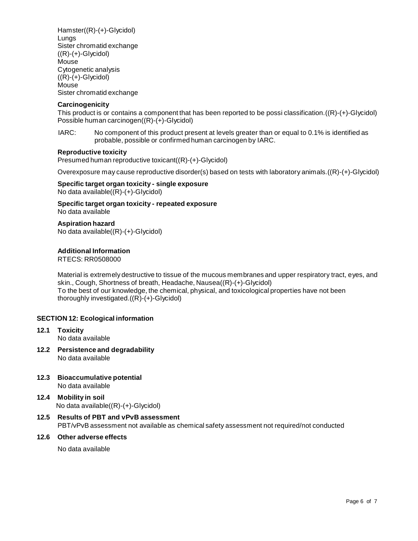Hamster((R)-(+)-Glycidol) Lungs Sister chromatid exchange  $((R)-(+)$ -Glycidol) Mouse Cytogenetic analysis  $((R)-(+)$ -Glycidol) Mouse Sister chromatid exchange

#### **Carcinogenicity**

This product is or contains a component that has been reported to be possi classification.((R)-(+)-Glycidol) Possible human carcinogen((R)-(+)-Glycidol)

IARC: No component of this product present at levels greater than or equal to 0.1% is identified as probable, possible or confirmed human carcinogen by IARC.

#### **Reproductive toxicity**

Presumed human reproductive toxicant((R)-(+)-Glycidol)

Overexposure may cause reproductive disorder(s) based on tests with laboratory animals.((R)-(+)-Glycidol)

**Specific target organ toxicity - single exposure** No data available((R)-(+)-Glycidol)

**Specific target organ toxicity - repeated exposure** No data available

**Aspiration hazard** No data available((R)-(+)-Glycidol)

**Additional Information**

RTECS: RR0508000

Material is extremely destructive to tissue of the mucous membranes and upper respiratory tract, eyes, and skin., Cough, Shortness of breath, Headache, Nausea((R)-(+)-Glycidol) To the best of our knowledge, the chemical, physical, and toxicological properties have not been thoroughly investigated.((R)-(+)-Glycidol)

#### **SECTION 12: Ecological information**

- **12.1 Toxicity** No data available
- **12.2 Persistence and degradability** No data available
- **12.3 Bioaccumulative potential** No data available
- **12.4 Mobility in soil** No data available((R)-(+)-Glycidol)
- **12.5 Results of PBT and vPvB assessment**

PBT/vPvB assessment not available as chemical safety assessment not required/not conducted

#### **12.6 Other adverse effects**

No data available